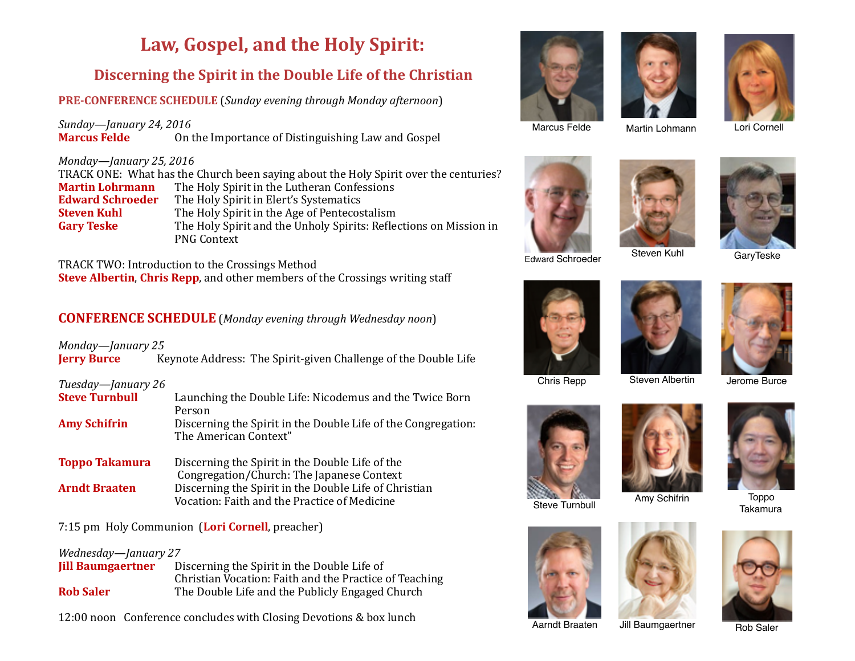# Law, Gospel, and the Holy Spirit:

# **Discerning the Spirit in the Double Life of the Christian**

**PRE-CONFERENCE SCHEDULE** (*Sunday evening through Monday afternoon*)

*Sunday*—*January* 24, 2016 **Marcus Felde** On the Importance of Distinguishing Law and Gospel

#### *Monday*—January 25, 2016

TRACK ONE: What has the Church been saying about the Holy Spirit over the centuries? **Martin Lohrmann** The Holy Spirit in the Lutheran Confessions **Edward Schroeder** The Holy Spirit in Elert's Systematics **Steven Kuhl** The Holy Spirit in the Age of Pentecostalism **Gary Teske** The Holy Spirit and the Unholy Spirits: Reflections on Mission in PNG Context 

TRACK TWO: Introduction to the Crossings Method **Steve Albertin, Chris Repp**, and other members of the Crossings writing staff

# **CONFERENCE SCHEDULE** (*Monday evening through Wednesday noon*)

*Monday—January 25* **Jerry Burce** Keynote Address: The Spirit-given Challenge of the Double Life

#### *Tuesday—January 26*

| <b>Steve Turnbull</b> | Launching the Double Life: Nicodemus and the Twice Born<br>Person                                     |
|-----------------------|-------------------------------------------------------------------------------------------------------|
| <b>Amy Schifrin</b>   | Discerning the Spirit in the Double Life of the Congregation:<br>The American Context"                |
| <b>Toppo Takamura</b> | Discerning the Spirit in the Double Life of the<br>Congregation/Church: The Japanese Context          |
| <b>Arndt Braaten</b>  | Discerning the Spirit in the Double Life of Christian<br>Vocation: Faith and the Practice of Medicine |

## 7:15 pm Holy Communion (Lori Cornell, preacher)

#### *Wednesday—January 27*

| <b>Jill Baumgaertner</b> | Discerning the Spirit in the Double Life of            |
|--------------------------|--------------------------------------------------------|
|                          | Christian Vocation: Faith and the Practice of Teaching |
| <b>Rob Saler</b>         | The Double Life and the Publicly Engaged Church        |

12:00 noon Conference concludes with Closing Devotions & box lunch







Marcus Felde

























Takamura

Aarndt Braaten Jill Baumgaertner Rob Saler

Edward Schroeder Steven Kuhl GaryTeske

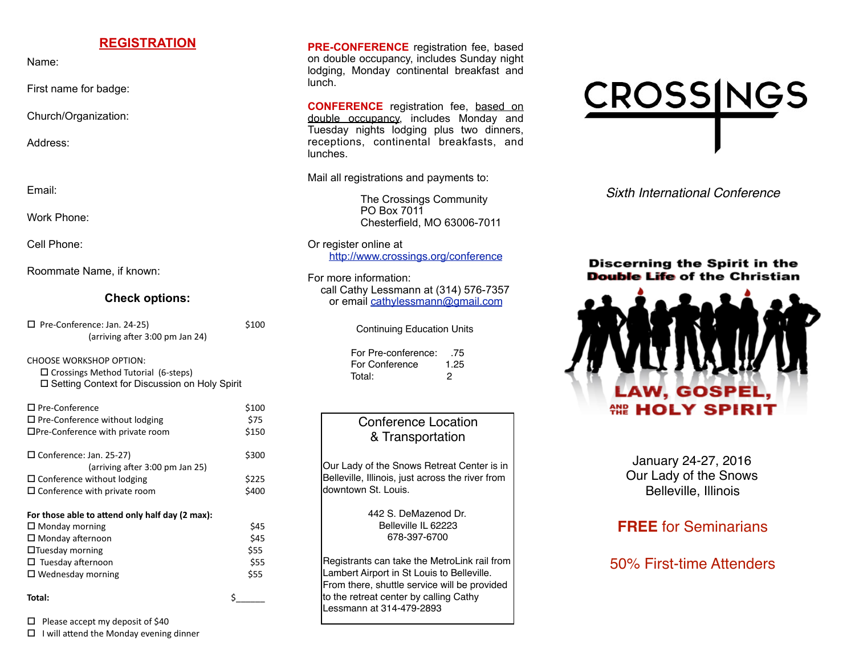## **REGISTRATION**

Name:

First name for badge:

Church/Organization:

Address:

Email:

Work Phone:

Cell Phone:

Roommate Name, if known:

#### **Check options:**

| $\Box$ Pre-Conference: Jan. 24-25) | \$100 |
|------------------------------------|-------|
| (arriving after 3:00 pm Jan 24)    |       |
|                                    |       |

CHOOSE WORKSHOP OPTION:  $\square$  Crossings Method Tutorial (6-steps)  $\square$  Setting Context for Discussion on Holy Spirit

| $\square$ Pre-Conference                        | \$100 |
|-------------------------------------------------|-------|
| $\Box$ Pre-Conference without lodging           | \$75  |
| $\Box$ Pre-Conference with private room         | \$150 |
| $\Box$ Conference: Jan. 25-27)                  | \$300 |
| (arriving after 3:00 pm Jan 25)                 |       |
| $\Box$ Conference without lodging               | \$225 |
| $\square$ Conference with private room          | \$400 |
| For those able to attend only half day (2 max): |       |
| $\Box$ Monday morning                           | \$45  |
| $\square$ Monday afternoon                      | \$45  |
| $\Box$ Tuesday morning                          | \$55  |
| $\Box$ Tuesday afternoon                        | \$55  |
| $\Box$ Wednesday morning                        | \$55  |
| Total:                                          |       |

 $\Box$  Please accept my deposit of \$40

 $\Box$  I will attend the Monday evening dinner

**PRE-CONFERENCE** registration fee, based on double occupancy, includes Sunday night lodging, Monday continental breakfast and lunch.

**CONFERENCE** registration fee, based on double occupancy, includes Monday and Tuesday nights lodging plus two dinners, receptions, continental breakfasts, and lunches.

Mail all registrations and payments to:

The Crossings Community PO Box 7011 Chesterfield, MO 63006-7011

Or register online at <http://www.crossings.org/conference>

For more information: call Cathy Lessmann at (314) 576-7357 or email [cathylessmann@gmail.com](mailto:cathylessmann@gmail.com)

Continuing Education Units

 For Pre-conference: .75 For Conference 1.25 Total: 2

## Conference Location & Transportation

Our Lady of the Snows Retreat Center is in Belleville, Illinois, just across the river from downtown St. Louis.

> 442 S. DeMazenod Dr. Belleville IL 62223 678-397-6700

Registrants can take the MetroLink rail from Lambert Airport in St Louis to Belleville. From there, shuttle service will be provided to the retreat center by calling Cathy Lessmann at 314-479-2893



*Sixth International Conference*

#### Discerning the Spirit in the **Double Life of the Christian**



January 24-27, 2016 Our Lady of the Snows Belleville, Illinois

# **FREE** for Seminarians

50% First-time Attenders